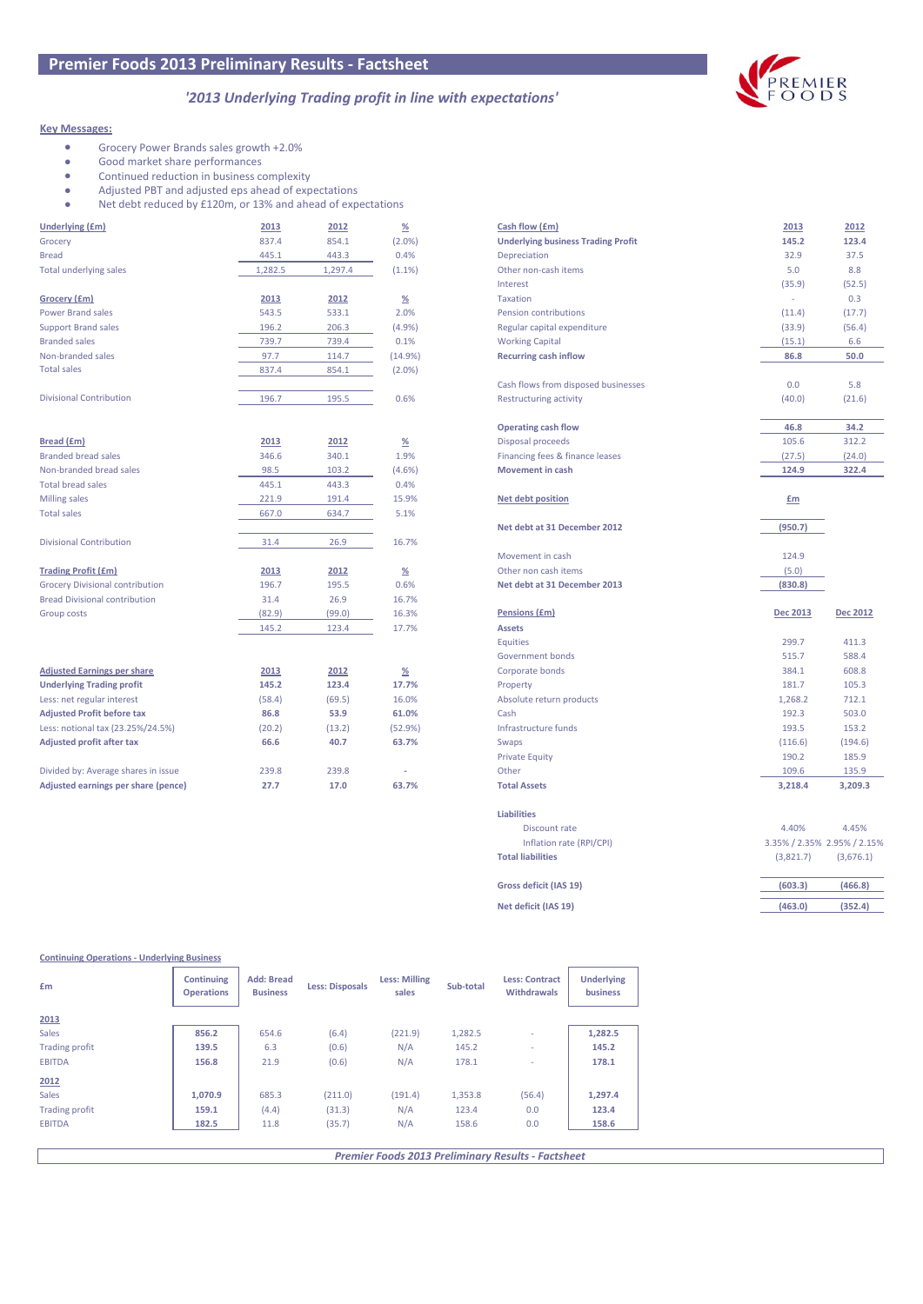# *'2013 Underlying Trading profit in line with expectations'*

## **Key Messages:**

- Grocery Power Brands sales growth +2.0%<br>• Good market share performances
- Good market share performances
- Continued reduction in business complexity<br>• Adjusted PBT and adjusted eps ahead of exp
- Adjusted PBT and adjusted eps ahead of expectations<br>• Net debt reduced by £120m, or 13% and ahead of exp
- Net debt reduced by £120m, or 13% and ahead of expectations

| <b>Underlying (£m)</b>                 | 2013    | 2012    | $\underline{\%}$ | Cash flow (£m)                            | 2013     | 2012            |
|----------------------------------------|---------|---------|------------------|-------------------------------------------|----------|-----------------|
| Grocery                                | 837.4   | 854.1   | $(2.0\%)$        | <b>Underlying business Trading Profit</b> | 145.2    | 123.4           |
| <b>Bread</b>                           | 445.1   | 443.3   | 0.4%             | Depreciation                              | 32.9     | 37.5            |
| <b>Total underlying sales</b>          | 1,282.5 | 1,297.4 | (1.1%            | Other non-cash items                      | 5.0      | 8.8             |
|                                        |         |         |                  | Interest                                  | (35.9)   | (52.5)          |
| Grocery (£m)                           | 2013    | 2012    | $\frac{\%}{\%}$  | <b>Taxation</b>                           | ×.       | 0.3             |
| <b>Power Brand sales</b>               | 543.5   | 533.1   | 2.0%             | Pension contributions                     | (11.4)   | (17.7)          |
| <b>Support Brand sales</b>             | 196.2   | 206.3   | (4.9%            | Regular capital expenditure               | (33.9)   | (56.4)          |
| <b>Branded sales</b>                   | 739.7   | 739.4   | 0.1%             | <b>Working Capital</b>                    | (15.1)   | 6.6             |
| Non-branded sales                      | 97.7    | 114.7   | (14.9%)          | <b>Recurring cash inflow</b>              | 86.8     | 50.0            |
| <b>Total sales</b>                     | 837.4   | 854.1   | $(2.0\%)$        |                                           |          |                 |
|                                        |         |         |                  | Cash flows from disposed businesses       | 0.0      | 5.8             |
| <b>Divisional Contribution</b>         | 196.7   | 195.5   | 0.6%             | <b>Restructuring activity</b>             | (40.0)   | (21.6)          |
|                                        |         |         |                  |                                           |          |                 |
|                                        |         |         |                  | <b>Operating cash flow</b>                | 46.8     | 34.2            |
| <b>Bread (£m)</b>                      | 2013    | 2012    | $\frac{\%}{\%}$  | Disposal proceeds                         | 105.6    | 312.2           |
| <b>Branded bread sales</b>             | 346.6   | 340.1   | 1.9%             | Financing fees & finance leases           | (27.5)   | (24.0)          |
| Non-branded bread sales                | 98.5    | 103.2   | (4.6%)           | <b>Movement in cash</b>                   | 124.9    | 322.4           |
| <b>Total bread sales</b>               | 445.1   | 443.3   | 0.4%             |                                           |          |                 |
| Milling sales                          | 221.9   | 191.4   | 15.9%            | <b>Net debt position</b>                  | $E$ m    |                 |
| <b>Total sales</b>                     | 667.0   | 634.7   | 5.1%             |                                           |          |                 |
|                                        |         |         |                  | Net debt at 31 December 2012              | (950.7)  |                 |
| <b>Divisional Contribution</b>         | 31.4    | 26.9    | 16.7%            |                                           |          |                 |
|                                        |         |         |                  | Movement in cash                          | 124.9    |                 |
| <b>Trading Profit (£m)</b>             | 2013    | 2012    | $\frac{\%}{\%}$  | Other non cash items                      | (5.0)    |                 |
| <b>Grocery Divisional contribution</b> | 196.7   | 195.5   | 0.6%             | Net debt at 31 December 2013              | (830.8)  |                 |
| <b>Bread Divisional contribution</b>   | 31.4    | 26.9    | 16.7%            |                                           |          |                 |
| <b>Group costs</b>                     | (82.9)  | (99.0)  | 16.3%            | Pensions (£m)                             | Dec 2013 | <b>Dec 2012</b> |
|                                        | 145.2   | 123.4   | 17.7%            | <b>Assets</b>                             |          |                 |
|                                        |         |         |                  | <b>Equities</b>                           | 299.7    | 411.3           |
|                                        |         |         |                  | Government bonds                          | 515.7    | 588.4           |
| <b>Adjusted Earnings per share</b>     | 2013    | 2012    | $\frac{\%}{\%}$  | Corporate bonds                           | 384.1    | 608.8           |
| <b>Underlying Trading profit</b>       | 145.2   | 123.4   | 17.7%            | Property                                  | 181.7    | 105.3           |
| Less: net regular interest             | (58.4)  | (69.5)  | 16.0%            | Absolute return products                  | 1,268.2  | 712.1           |
| <b>Adjusted Profit before tax</b>      | 86.8    | 53.9    | 61.0%            | Cash                                      | 192.3    | 503.0           |
| Less: notional tax (23.25%/24.5%)      | (20.2)  | (13.2)  | (52.9%)          | Infrastructure funds                      | 193.5    | 153.2           |
| <b>Adjusted profit after tax</b>       | 66.6    | 40.7    | 63.7%            | Swaps                                     | (116.6)  | (194.6)         |
|                                        |         |         |                  | <b>Private Equity</b>                     | 190.2    | 185.9           |
|                                        |         |         |                  |                                           |          |                 |
| Divided by: Average shares in issue    | 239.8   | 239.8   |                  | Other                                     | 109.6    | 135.9           |
| Adjusted earnings per share (pence)    | 27.7    | 17.0    | 63.7%            | <b>Total Assets</b>                       | 3,218.4  | 3,209.3         |

**Continuing Operations - Underlying Business**

| Cash flow (£m)<br>2013<br>2012<br><b>Underlying business Trading Profit</b><br>145.2<br>123.4<br>Depreciation<br>32.9<br>37.5<br>Other non-cash items<br>5.0<br>8.8<br>Interest<br>(35.9)<br>(52.5)<br><b>Taxation</b><br>÷,<br>0.3<br>Pension contributions<br>(11.4)<br>(17.7)<br>Regular capital expenditure<br>(56.4)<br>(33.9)<br><b>Working Capital</b><br>(15.1)<br>6.6<br><b>Recurring cash inflow</b><br>86.8<br>50.0<br>Cash flows from disposed businesses<br>0.0<br>5.8<br><b>Restructuring activity</b><br>(40.0)<br>(21.6)<br><b>Operating cash flow</b><br>46.8<br>34.2<br>Disposal proceeds<br>105.6<br>312.2<br>Financing fees & finance leases<br>(27.5)<br>(24.0)<br><b>Movement in cash</b><br>124.9<br>322.4<br><b>Net debt position</b><br>Em<br>Net debt at 31 December 2012<br>(950.7)<br>124.9<br>Movement in cash<br>Other non cash items<br>(5.0)<br>Net debt at 31 December 2013<br>(830.8)<br>Pensions (£m)<br><b>Dec 2013</b><br><b>Dec 2012</b><br><b>Assets</b><br><b>Equities</b><br>299.7<br>411.3<br>515.7<br>588.4<br>Government bonds<br>Corporate bonds<br>384.1<br>608.8<br>181.7<br>Property<br>105.3<br>Absolute return products<br>1,268.2<br>712.1<br>Cash<br>192.3<br>503.0<br>Infrastructure funds<br>193.5<br>153.2<br>Swaps<br>(116.6)<br>(194.6)<br><b>Private Equity</b><br>190.2<br>185.9<br>Other<br>109.6<br>135.9<br><b>Total Assets</b><br>3.218.4<br>3,209.3<br><b>Liabilities</b><br>4.40%<br>4.45%<br>Discount rate<br>Inflation rate (RPI/CPI)<br>3.35% / 2.35% 2.95% / 2.15%<br><b>Total liabilities</b><br>(3,821.7)<br>(3,676.1)<br>Gross deficit (IAS 19)<br>(603.3)<br>(466.8)<br>Net deficit (IAS 19)<br>(463.0)<br>(352.4) |  |  |
|---------------------------------------------------------------------------------------------------------------------------------------------------------------------------------------------------------------------------------------------------------------------------------------------------------------------------------------------------------------------------------------------------------------------------------------------------------------------------------------------------------------------------------------------------------------------------------------------------------------------------------------------------------------------------------------------------------------------------------------------------------------------------------------------------------------------------------------------------------------------------------------------------------------------------------------------------------------------------------------------------------------------------------------------------------------------------------------------------------------------------------------------------------------------------------------------------------------------------------------------------------------------------------------------------------------------------------------------------------------------------------------------------------------------------------------------------------------------------------------------------------------------------------------------------------------------------------------------------------------------------------------------------------------------------------------------|--|--|
|                                                                                                                                                                                                                                                                                                                                                                                                                                                                                                                                                                                                                                                                                                                                                                                                                                                                                                                                                                                                                                                                                                                                                                                                                                                                                                                                                                                                                                                                                                                                                                                                                                                                                             |  |  |
|                                                                                                                                                                                                                                                                                                                                                                                                                                                                                                                                                                                                                                                                                                                                                                                                                                                                                                                                                                                                                                                                                                                                                                                                                                                                                                                                                                                                                                                                                                                                                                                                                                                                                             |  |  |
|                                                                                                                                                                                                                                                                                                                                                                                                                                                                                                                                                                                                                                                                                                                                                                                                                                                                                                                                                                                                                                                                                                                                                                                                                                                                                                                                                                                                                                                                                                                                                                                                                                                                                             |  |  |
|                                                                                                                                                                                                                                                                                                                                                                                                                                                                                                                                                                                                                                                                                                                                                                                                                                                                                                                                                                                                                                                                                                                                                                                                                                                                                                                                                                                                                                                                                                                                                                                                                                                                                             |  |  |
|                                                                                                                                                                                                                                                                                                                                                                                                                                                                                                                                                                                                                                                                                                                                                                                                                                                                                                                                                                                                                                                                                                                                                                                                                                                                                                                                                                                                                                                                                                                                                                                                                                                                                             |  |  |
|                                                                                                                                                                                                                                                                                                                                                                                                                                                                                                                                                                                                                                                                                                                                                                                                                                                                                                                                                                                                                                                                                                                                                                                                                                                                                                                                                                                                                                                                                                                                                                                                                                                                                             |  |  |
|                                                                                                                                                                                                                                                                                                                                                                                                                                                                                                                                                                                                                                                                                                                                                                                                                                                                                                                                                                                                                                                                                                                                                                                                                                                                                                                                                                                                                                                                                                                                                                                                                                                                                             |  |  |
|                                                                                                                                                                                                                                                                                                                                                                                                                                                                                                                                                                                                                                                                                                                                                                                                                                                                                                                                                                                                                                                                                                                                                                                                                                                                                                                                                                                                                                                                                                                                                                                                                                                                                             |  |  |
|                                                                                                                                                                                                                                                                                                                                                                                                                                                                                                                                                                                                                                                                                                                                                                                                                                                                                                                                                                                                                                                                                                                                                                                                                                                                                                                                                                                                                                                                                                                                                                                                                                                                                             |  |  |
|                                                                                                                                                                                                                                                                                                                                                                                                                                                                                                                                                                                                                                                                                                                                                                                                                                                                                                                                                                                                                                                                                                                                                                                                                                                                                                                                                                                                                                                                                                                                                                                                                                                                                             |  |  |
|                                                                                                                                                                                                                                                                                                                                                                                                                                                                                                                                                                                                                                                                                                                                                                                                                                                                                                                                                                                                                                                                                                                                                                                                                                                                                                                                                                                                                                                                                                                                                                                                                                                                                             |  |  |
|                                                                                                                                                                                                                                                                                                                                                                                                                                                                                                                                                                                                                                                                                                                                                                                                                                                                                                                                                                                                                                                                                                                                                                                                                                                                                                                                                                                                                                                                                                                                                                                                                                                                                             |  |  |
|                                                                                                                                                                                                                                                                                                                                                                                                                                                                                                                                                                                                                                                                                                                                                                                                                                                                                                                                                                                                                                                                                                                                                                                                                                                                                                                                                                                                                                                                                                                                                                                                                                                                                             |  |  |
|                                                                                                                                                                                                                                                                                                                                                                                                                                                                                                                                                                                                                                                                                                                                                                                                                                                                                                                                                                                                                                                                                                                                                                                                                                                                                                                                                                                                                                                                                                                                                                                                                                                                                             |  |  |
|                                                                                                                                                                                                                                                                                                                                                                                                                                                                                                                                                                                                                                                                                                                                                                                                                                                                                                                                                                                                                                                                                                                                                                                                                                                                                                                                                                                                                                                                                                                                                                                                                                                                                             |  |  |
|                                                                                                                                                                                                                                                                                                                                                                                                                                                                                                                                                                                                                                                                                                                                                                                                                                                                                                                                                                                                                                                                                                                                                                                                                                                                                                                                                                                                                                                                                                                                                                                                                                                                                             |  |  |
|                                                                                                                                                                                                                                                                                                                                                                                                                                                                                                                                                                                                                                                                                                                                                                                                                                                                                                                                                                                                                                                                                                                                                                                                                                                                                                                                                                                                                                                                                                                                                                                                                                                                                             |  |  |
|                                                                                                                                                                                                                                                                                                                                                                                                                                                                                                                                                                                                                                                                                                                                                                                                                                                                                                                                                                                                                                                                                                                                                                                                                                                                                                                                                                                                                                                                                                                                                                                                                                                                                             |  |  |
|                                                                                                                                                                                                                                                                                                                                                                                                                                                                                                                                                                                                                                                                                                                                                                                                                                                                                                                                                                                                                                                                                                                                                                                                                                                                                                                                                                                                                                                                                                                                                                                                                                                                                             |  |  |
|                                                                                                                                                                                                                                                                                                                                                                                                                                                                                                                                                                                                                                                                                                                                                                                                                                                                                                                                                                                                                                                                                                                                                                                                                                                                                                                                                                                                                                                                                                                                                                                                                                                                                             |  |  |
|                                                                                                                                                                                                                                                                                                                                                                                                                                                                                                                                                                                                                                                                                                                                                                                                                                                                                                                                                                                                                                                                                                                                                                                                                                                                                                                                                                                                                                                                                                                                                                                                                                                                                             |  |  |
|                                                                                                                                                                                                                                                                                                                                                                                                                                                                                                                                                                                                                                                                                                                                                                                                                                                                                                                                                                                                                                                                                                                                                                                                                                                                                                                                                                                                                                                                                                                                                                                                                                                                                             |  |  |
|                                                                                                                                                                                                                                                                                                                                                                                                                                                                                                                                                                                                                                                                                                                                                                                                                                                                                                                                                                                                                                                                                                                                                                                                                                                                                                                                                                                                                                                                                                                                                                                                                                                                                             |  |  |
|                                                                                                                                                                                                                                                                                                                                                                                                                                                                                                                                                                                                                                                                                                                                                                                                                                                                                                                                                                                                                                                                                                                                                                                                                                                                                                                                                                                                                                                                                                                                                                                                                                                                                             |  |  |
|                                                                                                                                                                                                                                                                                                                                                                                                                                                                                                                                                                                                                                                                                                                                                                                                                                                                                                                                                                                                                                                                                                                                                                                                                                                                                                                                                                                                                                                                                                                                                                                                                                                                                             |  |  |
|                                                                                                                                                                                                                                                                                                                                                                                                                                                                                                                                                                                                                                                                                                                                                                                                                                                                                                                                                                                                                                                                                                                                                                                                                                                                                                                                                                                                                                                                                                                                                                                                                                                                                             |  |  |
|                                                                                                                                                                                                                                                                                                                                                                                                                                                                                                                                                                                                                                                                                                                                                                                                                                                                                                                                                                                                                                                                                                                                                                                                                                                                                                                                                                                                                                                                                                                                                                                                                                                                                             |  |  |
|                                                                                                                                                                                                                                                                                                                                                                                                                                                                                                                                                                                                                                                                                                                                                                                                                                                                                                                                                                                                                                                                                                                                                                                                                                                                                                                                                                                                                                                                                                                                                                                                                                                                                             |  |  |
|                                                                                                                                                                                                                                                                                                                                                                                                                                                                                                                                                                                                                                                                                                                                                                                                                                                                                                                                                                                                                                                                                                                                                                                                                                                                                                                                                                                                                                                                                                                                                                                                                                                                                             |  |  |
|                                                                                                                                                                                                                                                                                                                                                                                                                                                                                                                                                                                                                                                                                                                                                                                                                                                                                                                                                                                                                                                                                                                                                                                                                                                                                                                                                                                                                                                                                                                                                                                                                                                                                             |  |  |
|                                                                                                                                                                                                                                                                                                                                                                                                                                                                                                                                                                                                                                                                                                                                                                                                                                                                                                                                                                                                                                                                                                                                                                                                                                                                                                                                                                                                                                                                                                                                                                                                                                                                                             |  |  |
|                                                                                                                                                                                                                                                                                                                                                                                                                                                                                                                                                                                                                                                                                                                                                                                                                                                                                                                                                                                                                                                                                                                                                                                                                                                                                                                                                                                                                                                                                                                                                                                                                                                                                             |  |  |
|                                                                                                                                                                                                                                                                                                                                                                                                                                                                                                                                                                                                                                                                                                                                                                                                                                                                                                                                                                                                                                                                                                                                                                                                                                                                                                                                                                                                                                                                                                                                                                                                                                                                                             |  |  |
|                                                                                                                                                                                                                                                                                                                                                                                                                                                                                                                                                                                                                                                                                                                                                                                                                                                                                                                                                                                                                                                                                                                                                                                                                                                                                                                                                                                                                                                                                                                                                                                                                                                                                             |  |  |
|                                                                                                                                                                                                                                                                                                                                                                                                                                                                                                                                                                                                                                                                                                                                                                                                                                                                                                                                                                                                                                                                                                                                                                                                                                                                                                                                                                                                                                                                                                                                                                                                                                                                                             |  |  |
|                                                                                                                                                                                                                                                                                                                                                                                                                                                                                                                                                                                                                                                                                                                                                                                                                                                                                                                                                                                                                                                                                                                                                                                                                                                                                                                                                                                                                                                                                                                                                                                                                                                                                             |  |  |
|                                                                                                                                                                                                                                                                                                                                                                                                                                                                                                                                                                                                                                                                                                                                                                                                                                                                                                                                                                                                                                                                                                                                                                                                                                                                                                                                                                                                                                                                                                                                                                                                                                                                                             |  |  |
|                                                                                                                                                                                                                                                                                                                                                                                                                                                                                                                                                                                                                                                                                                                                                                                                                                                                                                                                                                                                                                                                                                                                                                                                                                                                                                                                                                                                                                                                                                                                                                                                                                                                                             |  |  |
|                                                                                                                                                                                                                                                                                                                                                                                                                                                                                                                                                                                                                                                                                                                                                                                                                                                                                                                                                                                                                                                                                                                                                                                                                                                                                                                                                                                                                                                                                                                                                                                                                                                                                             |  |  |
|                                                                                                                                                                                                                                                                                                                                                                                                                                                                                                                                                                                                                                                                                                                                                                                                                                                                                                                                                                                                                                                                                                                                                                                                                                                                                                                                                                                                                                                                                                                                                                                                                                                                                             |  |  |
|                                                                                                                                                                                                                                                                                                                                                                                                                                                                                                                                                                                                                                                                                                                                                                                                                                                                                                                                                                                                                                                                                                                                                                                                                                                                                                                                                                                                                                                                                                                                                                                                                                                                                             |  |  |
|                                                                                                                                                                                                                                                                                                                                                                                                                                                                                                                                                                                                                                                                                                                                                                                                                                                                                                                                                                                                                                                                                                                                                                                                                                                                                                                                                                                                                                                                                                                                                                                                                                                                                             |  |  |
|                                                                                                                                                                                                                                                                                                                                                                                                                                                                                                                                                                                                                                                                                                                                                                                                                                                                                                                                                                                                                                                                                                                                                                                                                                                                                                                                                                                                                                                                                                                                                                                                                                                                                             |  |  |
|                                                                                                                                                                                                                                                                                                                                                                                                                                                                                                                                                                                                                                                                                                                                                                                                                                                                                                                                                                                                                                                                                                                                                                                                                                                                                                                                                                                                                                                                                                                                                                                                                                                                                             |  |  |
|                                                                                                                                                                                                                                                                                                                                                                                                                                                                                                                                                                                                                                                                                                                                                                                                                                                                                                                                                                                                                                                                                                                                                                                                                                                                                                                                                                                                                                                                                                                                                                                                                                                                                             |  |  |

### **2013** Sales **856.2** 654.6 (6.4) (221.9) 1,282.5 - **1,282.5** Trading profit **139.5** 6.3 (0.6) N/A 145.2 - **145.2** EBITDA **156.8** 21.9 (0.6) N/A 178.1 - **178.1 2012** Sales **1,070.9** 685.3 (211.0) (191.4) 1,353.8 (56.4) **1,297.4** Trading profit **159.1** (4.4) (31.3) N/A 123.4 0.0 **123.4** EBITDA **182.5** 11.8 (35.7) N/A 158.6 0.0 **158.6 Continuing Operations Add: Bread Business Less: Disposals Less: Milling sales Sub-total Less: Contract Withdrawals Underlying**  Em **business business Example Less: Disposals Example 2016 Example 2016 Example 2016 Example 2016 Example 2016 Example 2016 CONFIDENT Example 2016 CONFIDENT CONFIDENT EXAMPLE 2016 CONFIDENT CO**

*Premier Foods 2013 Preliminary Results - Factsheet*